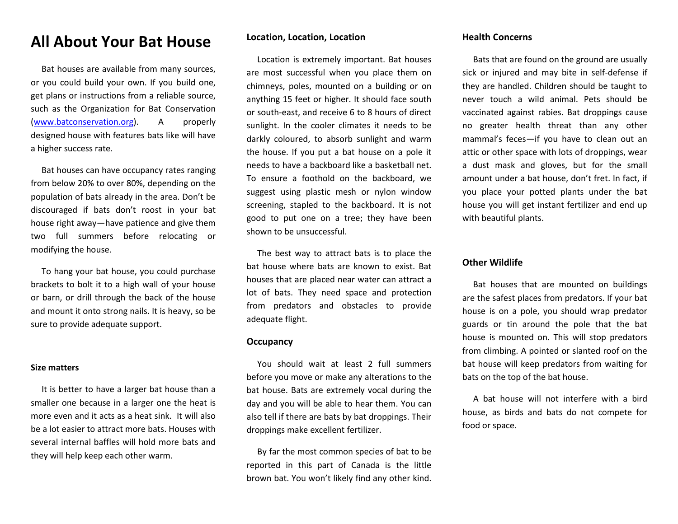# **All About Your Bat House**

 Bat houses are available from many sources, or you could build your own. If you build one, get plans or instructions from a reliable source, such as the Organization for Bat Conservation [\(www.batconservation.org\)](http://www.batconservation.org/). A properly designed house with features bats like will have a higher success rate.

 Bat houses can have occupancy rates ranging from below 20% to over 80%, depending on the population of bats already in the area. Don't be discouraged if bats don't roost in your bat house right away—have patience and give them two full summers before relocating or modifying the house.

 To hang your bat house, you could purchase brackets to bolt it to a high wall of your house or barn, or drill through the back of the house and mount it onto strong nails. It is heavy, so be sure to provide adequate support.

#### **Size matters**

 It is better to have a larger bat house than a smaller one because in a larger one the heat is more even and it acts as a heat sink. It will also be a lot easier to attract more bats. Houses with several internal baffles will hold more bats and they will help keep each other warm.

## **Location, Location, Location**

 Location is extremely important. Bat houses are most successful when you place them on chimneys, poles, mounted on a building or on anything 15 feet or higher. It should face south or south-east, and receive 6 to 8 hours of direct sunlight. In the cooler climates it needs to be darkly coloured, to absorb sunlight and warm the house. If you put a bat house on a pole it needs to have a backboard like a basketball net. To ensure a foothold on the backboard, we suggest using plastic mesh or nylon window screening, stapled to the backboard. It is not good to put one on a tree; they have been shown to be unsuccessful.

 The best way to attract bats is to place the bat house where bats are known to exist. Bat houses that are placed near water can attract a lot of bats. They need space and protection from predators and obstacles to provide adequate flight.

#### **Occupancy**

 You should wait at least 2 full summers before you move or make any alterations to the bat house. Bats are extremely vocal during the day and you will be able to hear them. You can also tell if there are bats by bat droppings. Their droppings make excellent fertilizer.

 By far the most common species of bat to be reported in this part of Canada is the little brown bat. You won't likely find any other kind.

### **Health Concerns**

 Bats that are found on the ground are usually sick or injured and may bite in self-defense if they are handled. Children should be taught to never touch a wild animal. Pets should be vaccinated against rabies. Bat droppings cause no greater health threat than any other mammal's feces—if you have to clean out an attic or other space with lots of droppings, wear a dust mask and gloves, but for the small amount under a bat house, don't fret. In fact, if you place your potted plants under the bat house you will get instant fertilizer and end up with beautiful plants.

## **Other Wildlife**

 Bat houses that are mounted on buildings are the safest places from predators. If your bat house is on a pole, you should wrap predator guards or tin around the pole that the bat house is mounted on. This will stop predators from climbing. A pointed or slanted roof on the bat house will keep predators from waiting for bats on the top of the bat house.

 A bat house will not interfere with a bird house, as birds and bats do not compete for food or space.